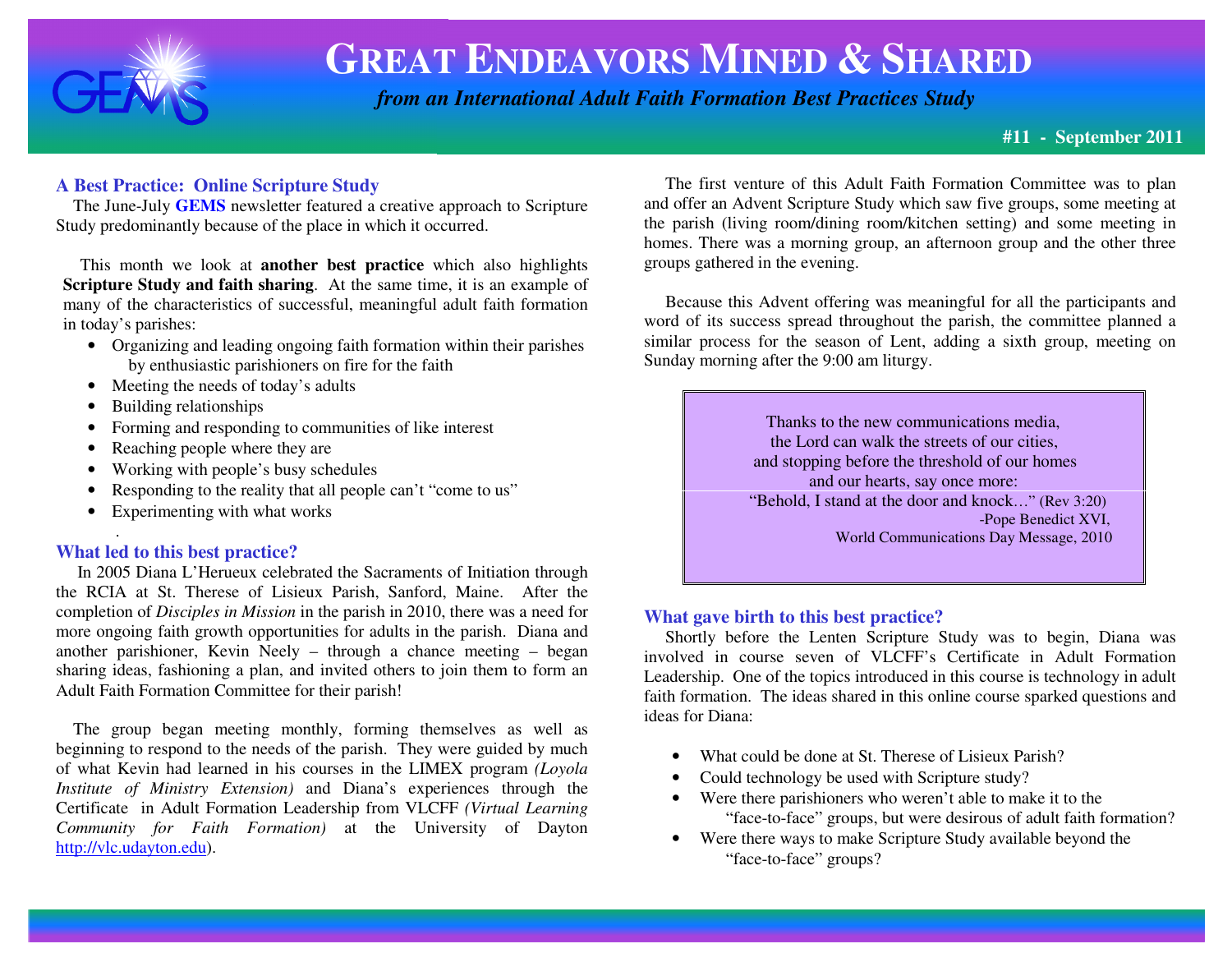

## **GREAT ENDEAVORS MINED &SHARED**

 *from an International Adult Faith Formation Best Practices Study*

### **#11 - September 2011**

### **A Best Practice: Online Scripture Study**

 The June-July **GEMS** newsletter featured a creative approach to Scripture Study predominantly because of the place in which it occurred.

 This month we look at **another best practice** which also highlights **Scripture Study and faith sharing**. At the same time, it is an example of many of the characteristics of successful, meaningful adult faith formation in today's parishes:

- Organizing and leading ongoing faith formation within their parishes by enthusiastic parishioners on fire for the faith
- Meeting the needs of today's adults
- Building relationships
- Forming and responding to communities of like interest
- •Reaching people where they are
- •Working with people's busy schedules
- $\bullet$ Responding to the reality that all people can't "come to us"
- Experimenting with what works

### **What led to this best practice?**

.

 In 2005 Diana L'Herueux celebrated the Sacraments of Initiation through the RCIA at St. Therese of Lisieux Parish, Sanford, Maine. After the completion of *Disciples in Mission* in the parish in 2010, there was a need for more ongoing faith growth opportunities for adults in the parish. Diana and another parishioner, Kevin Neely – through a chance meeting – began sharing ideas, fashioning a plan, and invited others to join them to form an Adult Faith Formation Committee for their parish!

 The group began meeting monthly, forming themselves as well as beginning to respond to the needs of the parish. They were guided by much of what Kevin had learned in his courses in the LIMEX program *(Loyola Institute of Ministry Extension)* and Diana's experiences through the Certificate in Adult Formation Leadership from VLCFF *(Virtual Learning Community for Faith Formation)* at the University of Dayton http://vlc.udayton.edu).

 The first venture of this Adult Faith Formation Committee was to plan and offer an Advent Scripture Study which saw five groups, some meeting at the parish (living room/dining room/kitchen setting) and some meeting in homes. There was a morning group, an afternoon group and the other three groups gathered in the evening.

 Because this Advent offering was meaningful for all the participants and word of its success spread throughout the parish, the committee planned a similar process for the season of Lent, adding a sixth group, meeting on Sunday morning after the 9:00 am liturgy.

> Thanks to the new communications media, the Lord can walk the streets of our cities, and stopping before the threshold of our homes and our hearts, say once more: "Behold, I stand at the door and knock…" (Rev 3:20) -Pope Benedict XVI, World Communications Day Message, 2010

### **What gave birth to this best practice?**

 Shortly before the Lenten Scripture Study was to begin, Diana was involved in course seven of VLCFF's Certificate in Adult Formation Leadership. One of the topics introduced in this course is technology in adult faith formation. The ideas shared in this online course sparked questions and ideas for Diana:

- What could be done at St. Therese of Lisieux Parish?
- •Could technology be used with Scripture study?
- Were there parishioners who weren't able to make it to the "face-to-face" groups, but were desirous of adult faith formation?
- Were there ways to make Scripture Study available beyond the "face-to-face" groups?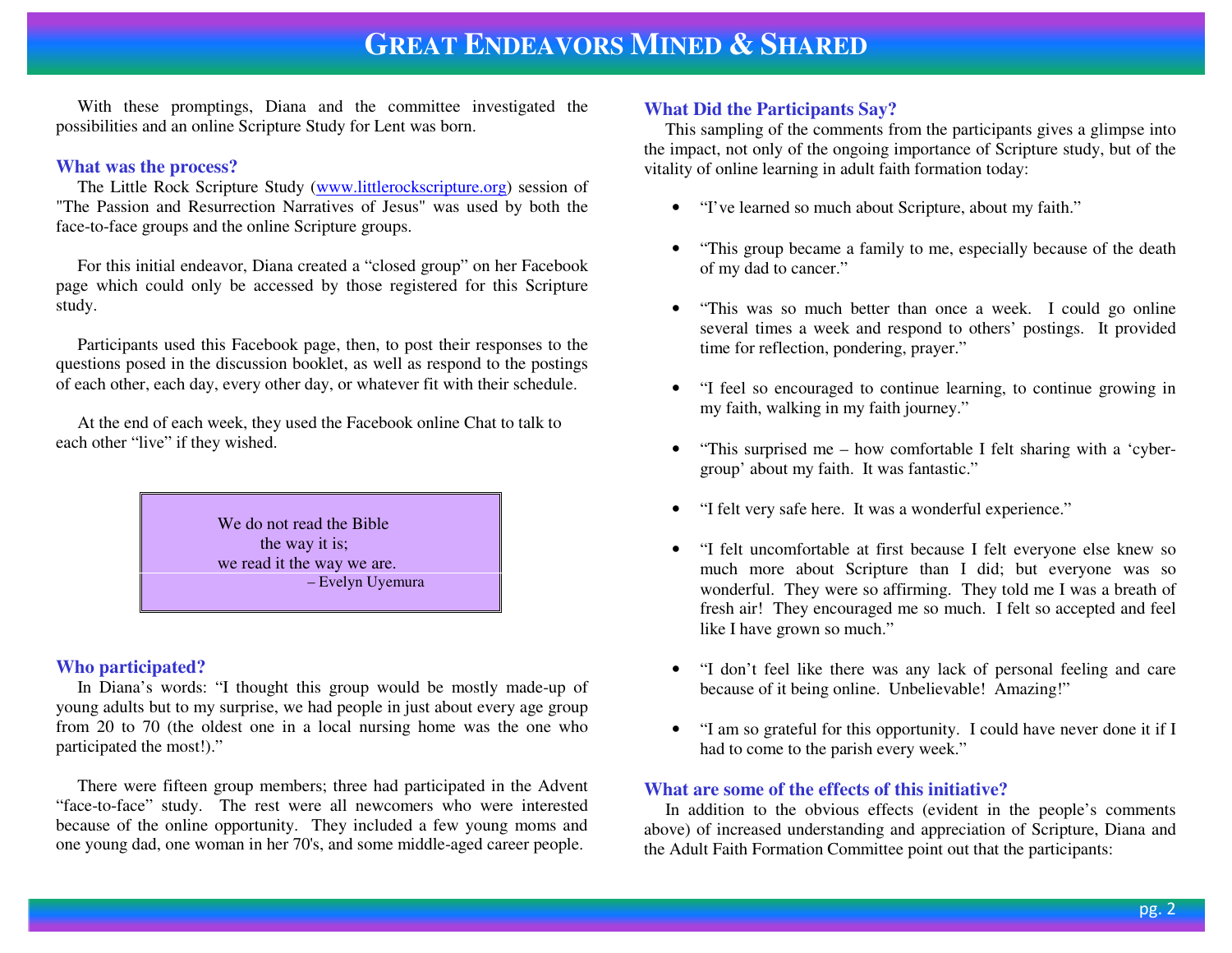# **GREAT ENDEAVORS MINED & <sup>S</sup>HARED**

 With these promptings, Diana and the committee investigated the possibilities and an online Scripture Study for Lent was born.

### **What was the process?**

The Little Rock Scripture Study (www.littlerockscripture.org) session of "The Passion and Resurrection Narratives of Jesus" was used by both the face-to-face groups and the online Scripture groups.

 For this initial endeavor, Diana created a "closed group" on her Facebook page which could only be accessed by those registered for this Scripture study.

 Participants used this Facebook page, then, to post their responses to the questions posed in the discussion booklet, as well as respond to the postings of each other, each day, every other day, or whatever fit with their schedule.

 At the end of each week, they used the Facebook online Chat to talk to each other "live" if they wished.



### **Who participated?**

 In Diana's words: "I thought this group would be mostly made-up of young adults but to my surprise, we had people in just about every age group from 20 to 70 (the oldest one in a local nursing home was the one who participated the most!)."

 There were fifteen group members; three had participated in the Advent "face-to-face" study. The rest were all newcomers who were interested because of the online opportunity. They included a few young moms and one young dad, one woman in her 70's, and some middle-aged career people.

### **What Did the Participants Say?**

 This sampling of the comments from the participants gives a glimpse into the impact, not only of the ongoing importance of Scripture study, but of the vitality of online learning in adult faith formation today:

- "I've learned so much about Scripture, about my faith."
- "This group became a family to me, especially because of the death of my dad to cancer."
- "This was so much better than once a week. I could go online several times a week and respond to others' postings. It provided time for reflection, pondering, prayer."
- "I feel so encouraged to continue learning, to continue growing in my faith, walking in my faith journey."
- • "This surprised me – how comfortable I felt sharing with a 'cybergroup' about my faith. It was fantastic."
- •"I felt very safe here. It was a wonderful experience."
- "I felt uncomfortable at first because I felt everyone else knew so much more about Scripture than I did; but everyone was so wonderful. They were so affirming. They told me I was a breath of fresh air! They encouraged me so much. I felt so accepted and feel like I have grown so much."
- "I don't feel like there was any lack of personal feeling and care because of it being online. Unbelievable! Amazing!"
- "I am so grateful for this opportunity. I could have never done it if I had to come to the parish every week."

### **What are some of the effects of this initiative?**

 In addition to the obvious effects (evident in the people's comments above) of increased understanding and appreciation of Scripture, Diana and the Adult Faith Formation Committee point out that the participants: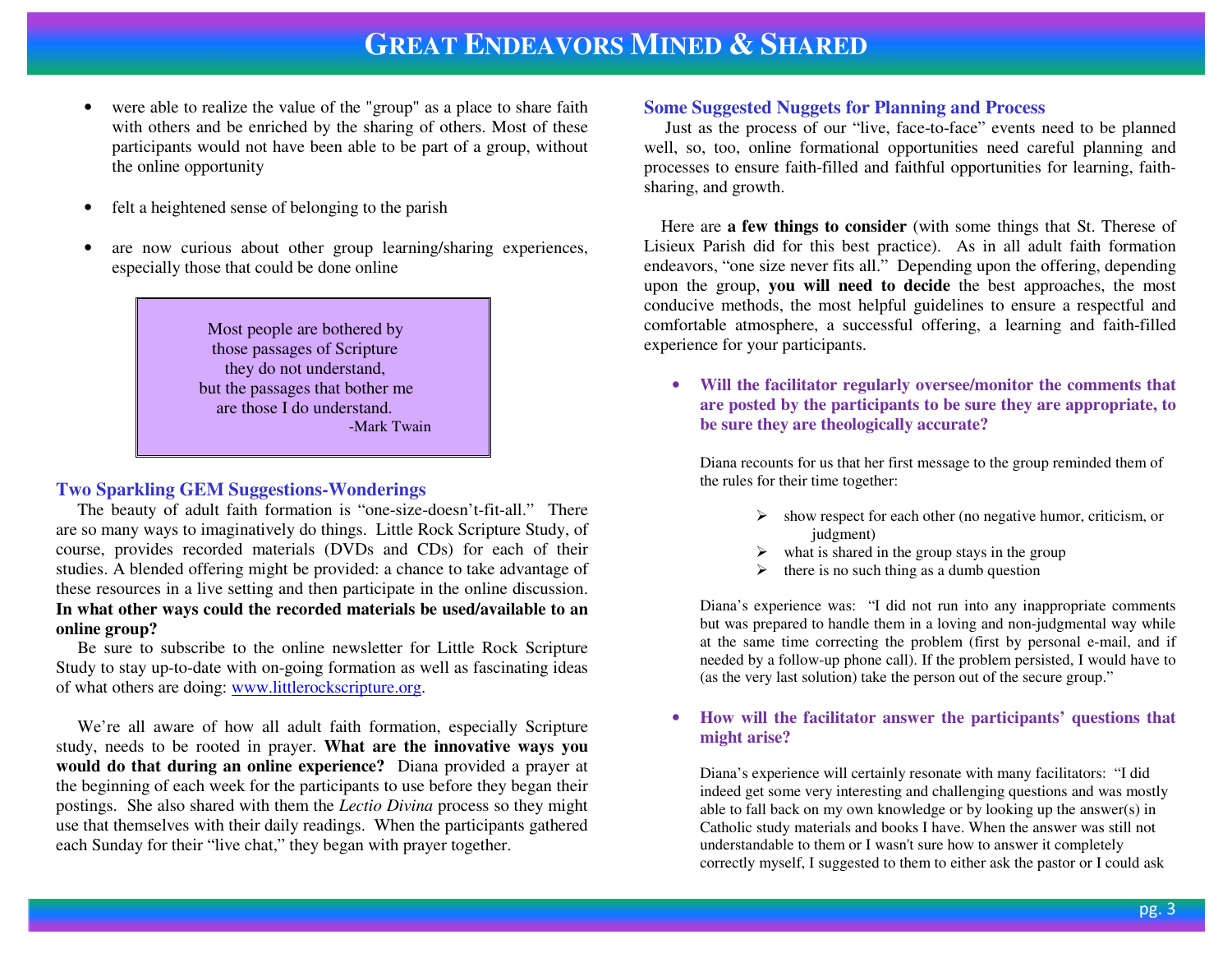## **GREAT ENDEAVORS MINED &SHARED**

- • were able to realize the value of the "group" as a place to share faith with others and be enriched by the sharing of others. Most of these participants would not have been able to be part of a group, without the online opportunity
- •felt a heightened sense of belonging to the parish
- • are now curious about other group learning/sharing experiences, especially those that could be done online

 Most people are bothered by those passages of Scripture they do not understand, but the passages that bother me are those I do understand. -Mark Twain

### **Two Sparkling GEM Suggestions-Wonderings**

 The beauty of adult faith formation is "one-size-doesn't-fit-all." There are so many ways to imaginatively do things. Little Rock Scripture Study, of course, provides recorded materials (DVDs and CDs) for each of their studies. A blended offering might be provided: a chance to take advantage of these resources in a live setting and then participate in the online discussion. **In what other ways could the recorded materials be used/available to an online group?** 

 Be sure to subscribe to the online newsletter for Little Rock Scripture Study to stay up-to-date with on-going formation as well as fascinating ideas of what others are doing: www.littlerockscripture.org.

 We're all aware of how all adult faith formation, especially Scripture study, needs to be rooted in prayer. **What are the innovative ways you would do that during an online experience?** Diana provided a prayer at the beginning of each week for the participants to use before they began their postings. She also shared with them the *Lectio Divina* process so they might use that themselves with their daily readings. When the participants gathered each Sunday for their "live chat," they began with prayer together.

### **Some Suggested Nuggets for Planning and Process**

 Just as the process of our "live, face-to-face" events need to be planned well, so, too, online formational opportunities need careful planning and processes to ensure faith-filled and faithful opportunities for learning, faithsharing, and growth.

 Here are **a few things to consider** (with some things that St. Therese of Lisieux Parish did for this best practice). As in all adult faith formation endeavors, "one size never fits all." Depending upon the offering, depending upon the group, **you will need to decide** the best approaches, the most conducive methods, the most helpful guidelines to ensure a respectful and comfortable atmosphere, a successful offering, a learning and faith-filled experience for your participants.

• **Will the facilitator regularly oversee/monitor the comments that are posted by the participants to be sure they are appropriate, to be sure they are theologically accurate?** 

Diana recounts for us that her first message to the group reminded them of the rules for their time together:

- $\triangleright$  show respect for each other (no negative humor, criticism, or independent) judgment)
- $\triangleright$  what is shared in the group stays in the group
- ⋗ there is no such thing as a dumb question

Diana's experience was: "I did not run into any inappropriate comments but was prepared to handle them in a loving and non-judgmental way while at the same time correcting the problem (first by personal e-mail, and if needed by a follow-up phone call). If the problem persisted, I would have to (as the very last solution) take the person out of the secure group."

#### • **How will the facilitator answer the participants' questions that might arise?**

Diana's experience will certainly resonate with many facilitators: "I did indeed get some very interesting and challenging questions and was mostly able to fall back on my own knowledge or by looking up the answer(s) in Catholic study materials and books I have. When the answer was still not understandable to them or I wasn't sure how to answer it completely correctly myself, I suggested to them to either ask the pastor or I could ask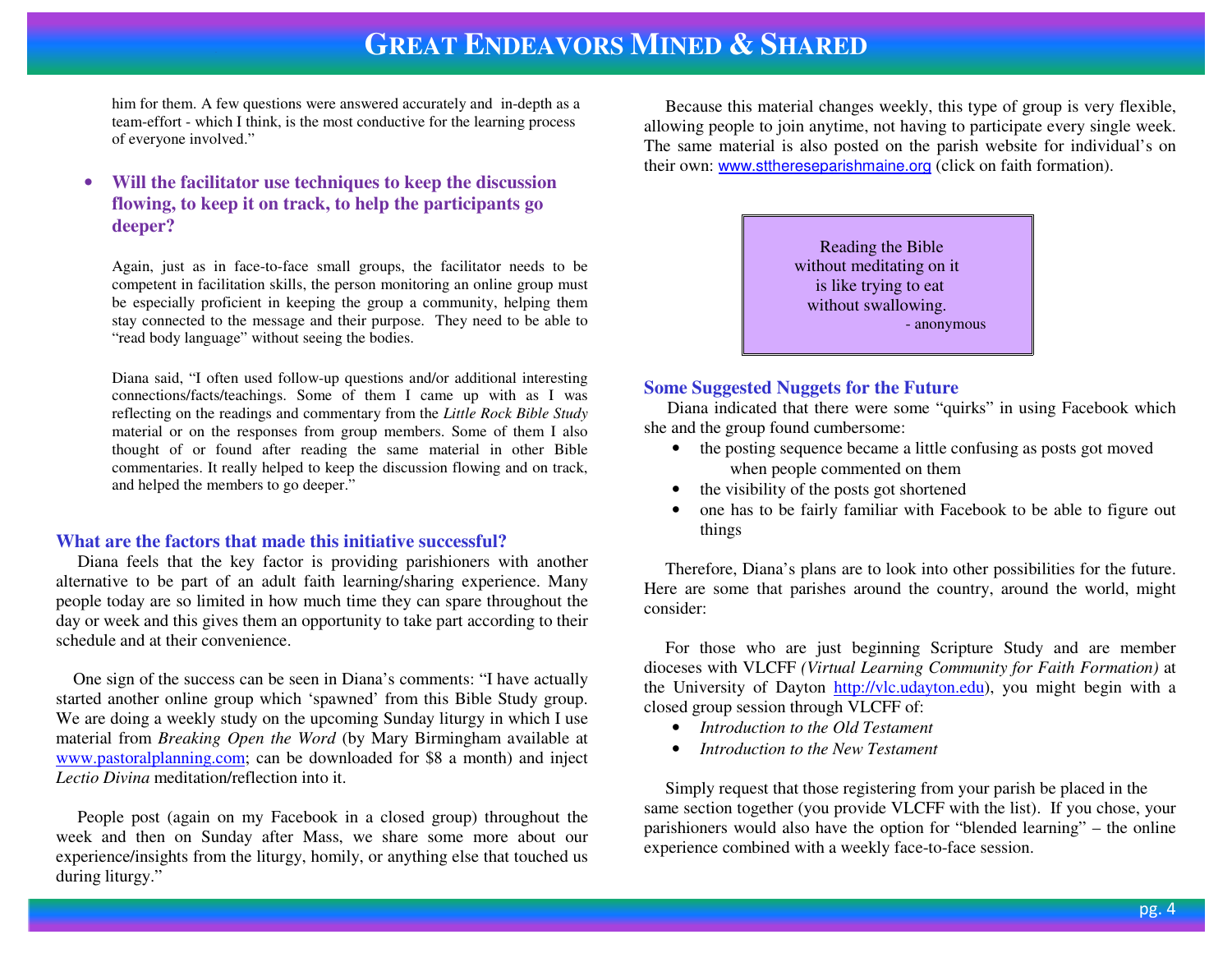## **GREAT ENDEAVORS MINED &SHARED**

him for them. A few questions were answered accurately and in-depth as a team-effort - which I think, is the most conductive for the learning process of everyone involved."

#### • **Will the facilitator use techniques to keep the discussion flowing, to keep it on track, to help the participants go deeper?**

Again, just as in face-to-face small groups, the facilitator needs to be competent in facilitation skills, the person monitoring an online group must be especially proficient in keeping the group a community, helping them stay connected to the message and their purpose. They need to be able to "read body language" without seeing the bodies.

Diana said, "I often used follow-up questions and/or additional interesting connections/facts/teachings. Some of them I came up with as I was reflecting on the readings and commentary from the *Little Rock Bible Study* material or on the responses from group members. Some of them I also thought of or found after reading the same material in other Bible commentaries. It really helped to keep the discussion flowing and on track, and helped the members to go deeper."

### **What are the factors that made this initiative successful?**

 Diana feels that the key factor is providing parishioners with another alternative to be part of an adult faith learning/sharing experience. Many people today are so limited in how much time they can spare throughout the day or week and this gives them an opportunity to take part according to their schedule and at their convenience.

 One sign of the success can be seen in Diana's comments: "I have actually started another online group which 'spawned' from this Bible Study group. We are doing a weekly study on the upcoming Sunday liturgy in which I use material from *Breaking Open the Word* (by Mary Birmingham available at www.pastoralplanning.com; can be downloaded for \$8 a month) and inject *Lectio Divina* meditation/reflection into it.

 People post (again on my Facebook in a closed group) throughout the week and then on Sunday after Mass, we share some more about our experience/insights from the liturgy, homily, or anything else that touched us during liturgy."

 Because this material changes weekly, this type of group is very flexible, allowing people to join anytime, not having to participate every single week. The same material is also posted on the parish website for individual's on their own: <u>www.stthereseparishmaine.org</u> (click on faith formation).

> Reading the Bible without meditating on it is like trying to eat without swallowing. - anonymous

### **Some Suggested Nuggets for the Future**

 Diana indicated that there were some "quirks" in using Facebook which she and the group found cumbersome:

- the posting sequence became a little confusing as posts got moved when people commented on them
- the visibility of the posts got shortened
- • one has to be fairly familiar with Facebook to be able to figure out things

 Therefore, Diana's plans are to look into other possibilities for the future. Here are some that parishes around the country, around the world, might consider:

 For those who are just beginning Scripture Study and are member dioceses with VLCFF *(Virtual Learning Community for Faith Formation)* at the University of Dayton http://vlc.udayton.edu), you might begin with a closed group session through VLCFF of:

- *Introduction to the Old Testament*
- *Introduction to the New Testament*

 Simply request that those registering from your parish be placed in the same section together (you provide VLCFF with the list). If you chose, your parishioners would also have the option for "blended learning" – the online experience combined with a weekly face-to-face session.